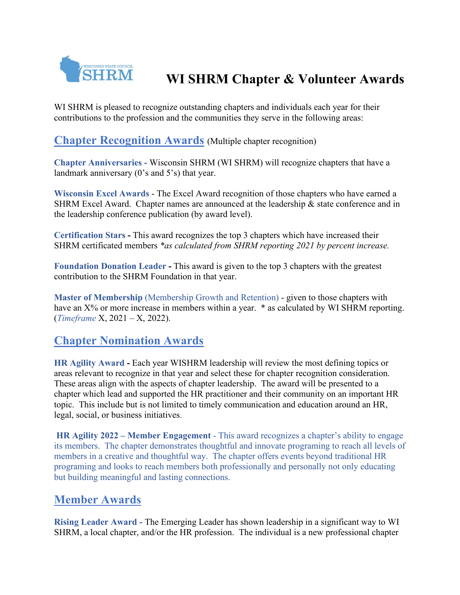

# **WI SHRM Chapter & Volunteer Awards**

WI SHRM is pleased to recognize outstanding chapters and individuals each year for their contributions to the profession and the communities they serve in the following areas:

**Chapter Recognition Awards** (Multiple chapter recognition)

**Chapter Anniversaries -** Wisconsin SHRM (WI SHRM) will recognize chapters that have a landmark anniversary (0's and 5's) that year.

**Wisconsin Excel Awards** - The Excel Award recognition of those chapters who have earned a SHRM Excel Award. Chapter names are announced at the leadership & state conference and in the leadership conference publication (by award level).

**Certification Stars -** This award recognizes the top 3 chapters which have increased their SHRM certificated members *\*as calculated from SHRM reporting 2021 by percent increase.* 

**Foundation Donation Leader -** This award is given to the top 3 chapters with the greatest contribution to the SHRM Foundation in that year.

**Master of Membership** (Membership Growth and Retention) - given to those chapters with have an  $X$ % or more increase in members within a year. \* as calculated by WI SHRM reporting. (*Timeframe* X, 2021 – X, 2022).

## **Chapter Nomination Awards**

**HR Agility Award -** Each year WISHRM leadership will review the most defining topics or areas relevant to recognize in that year and select these for chapter recognition consideration. These areas align with the aspects of chapter leadership. The award will be presented to a chapter which lead and supported the HR practitioner and their community on an important HR topic. This include but is not limited to timely communication and education around an HR, legal, social, or business initiatives.

**HR Agility 2022 – Member Engagement** - This award recognizes a chapter's ability to engage its members. The chapter demonstrates thoughtful and innovate programing to reach all levels of members in a creative and thoughtful way. The chapter offers events beyond traditional HR programing and looks to reach members both professionally and personally not only educating but building meaningful and lasting connections.

## **Member Awards**

**Rising Leader Award -** The Emerging Leader has shown leadership in a significant way to WI SHRM, a local chapter, and/or the HR profession. The individual is a new professional chapter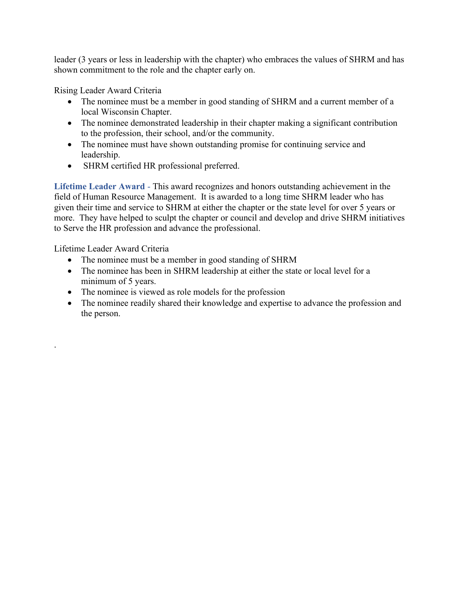leader (3 years or less in leadership with the chapter) who embraces the values of SHRM and has shown commitment to the role and the chapter early on.

Rising Leader Award Criteria

- The nominee must be a member in good standing of SHRM and a current member of a local Wisconsin Chapter.
- The nominee demonstrated leadership in their chapter making a significant contribution to the profession, their school, and/or the community.
- The nominee must have shown outstanding promise for continuing service and leadership.
- SHRM certified HR professional preferred.

**Lifetime Leader Award** - This award recognizes and honors outstanding achievement in the field of Human Resource Management. It is awarded to a long time SHRM leader who has given their time and service to SHRM at either the chapter or the state level for over 5 years or more. They have helped to sculpt the chapter or council and develop and drive SHRM initiatives to Serve the HR profession and advance the professional.

Lifetime Leader Award Criteria

.

- The nominee must be a member in good standing of SHRM
- The nominee has been in SHRM leadership at either the state or local level for a minimum of 5 years.
- The nominee is viewed as role models for the profession
- The nominee readily shared their knowledge and expertise to advance the profession and the person.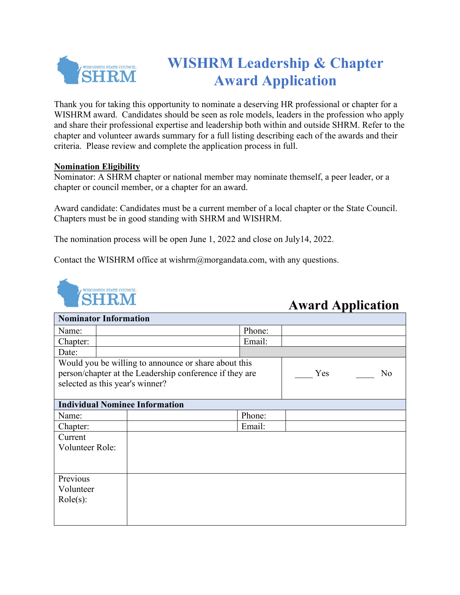

# **WISHRM Leadership & Chapter Award Application**

Thank you for taking this opportunity to nominate a deserving HR professional or chapter for a WISHRM award. Candidates should be seen as role models, leaders in the profession who apply and share their professional expertise and leadership both within and outside SHRM. Refer to the chapter and volunteer awards summary for a full listing describing each of the awards and their criteria. Please review and complete the application process in full.

#### **Nomination Eligibility**

Nominator: A SHRM chapter or national member may nominate themself, a peer leader, or a chapter or council member, or a chapter for an award.

Award candidate: Candidates must be a current member of a local chapter or the State Council. Chapters must be in good standing with SHRM and WISHRM.

The nomination process will be open June 1, 2022 and close on July14, 2022.

Contact the WISHRM office at wishrm@morgandata.com, with any questions.



## **Award Application**

| <b>Nominator Information</b>                            |  |                                                      |        |     |                |  |
|---------------------------------------------------------|--|------------------------------------------------------|--------|-----|----------------|--|
| Name:                                                   |  |                                                      | Phone: |     |                |  |
| Chapter:                                                |  |                                                      | Email: |     |                |  |
| Date:                                                   |  |                                                      |        |     |                |  |
|                                                         |  | Would you be willing to announce or share about this |        |     |                |  |
| person/chapter at the Leadership conference if they are |  |                                                      |        | Yes | N <sub>o</sub> |  |
|                                                         |  | selected as this year's winner?                      |        |     |                |  |
|                                                         |  |                                                      |        |     |                |  |
| <b>Individual Nominee Information</b>                   |  |                                                      |        |     |                |  |
| Name:                                                   |  |                                                      | Phone: |     |                |  |
| Chapter:                                                |  |                                                      | Email: |     |                |  |
| Current                                                 |  |                                                      |        |     |                |  |
| <b>Volunteer Role:</b>                                  |  |                                                      |        |     |                |  |
|                                                         |  |                                                      |        |     |                |  |
|                                                         |  |                                                      |        |     |                |  |
| Previous                                                |  |                                                      |        |     |                |  |
| Volunteer                                               |  |                                                      |        |     |                |  |
| $Role(s)$ :                                             |  |                                                      |        |     |                |  |
|                                                         |  |                                                      |        |     |                |  |
|                                                         |  |                                                      |        |     |                |  |